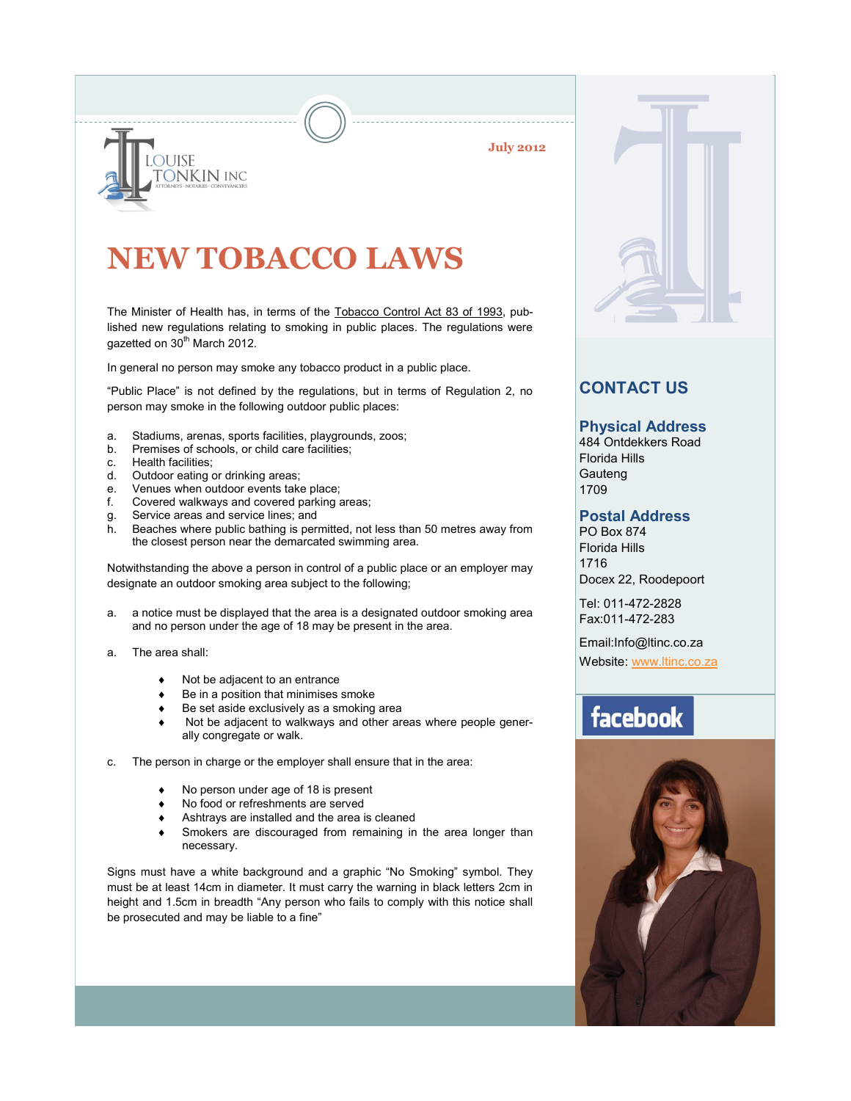**July 2012**



# **NEW TOBACCO LAWS**

The Minister of Health has, in terms of the Tobacco Control Act 83 of 1993, published new regulations relating to smoking in public places. The regulations were gazetted on 30<sup>th</sup> March 2012.

In general no person may smoke any tobacco product in a public place.

"Public Place" is not defined by the regulations, but in terms of Regulation 2, no person may smoke in the following outdoor public places:

- a. Stadiums, arenas, sports facilities, playgrounds, zoos;
- Premises of schools, or child care facilities;
- c. Health facilities;
- d. Outdoor eating or drinking areas;
- e. Venues when outdoor events take place;
- f. Covered walkways and covered parking areas;
- g. Service areas and service lines; and
- h. Beaches where public bathing is permitted, not less than 50 metres away from the closest person near the demarcated swimming area.

Notwithstanding the above a person in control of a public place or an employer may designate an outdoor smoking area subject to the following;

- a. a notice must be displayed that the area is a designated outdoor smoking area and no person under the age of 18 may be present in the area.
- a. The area shall:
	- Not be adjacent to an entrance
	- Be in a position that minimises smoke
	- Be set aside exclusively as a smoking area
	- Not be adjacent to walkways and other areas where people generally congregate or walk.
- c. The person in charge or the employer shall ensure that in the area:
	- No person under age of 18 is present
	- No food or refreshments are served
	- Ashtrays are installed and the area is cleaned
	- Smokers are discouraged from remaining in the area longer than necessary.

Signs must have a white background and a graphic "No Smoking" symbol. They must be at least 14cm in diameter. It must carry the warning in black letters 2cm in height and 1.5cm in breadth "Any person who fails to comply with this notice shall be prosecuted and may be liable to a fine"



### **CONTACT US**

#### **Physical Address**

484 Ontdekkers Road Florida Hills **Gauteng** 1709

#### **Postal Address**

PO Box 874 Florida Hills 1716 Docex 22, Roodepoort

Tel: 011-472-2828 Fax:011-472-283

Email:Info@ltinc.co.za

Website: [www.ltinc.co.za](http://www.btjs.co.za/)

## facebook